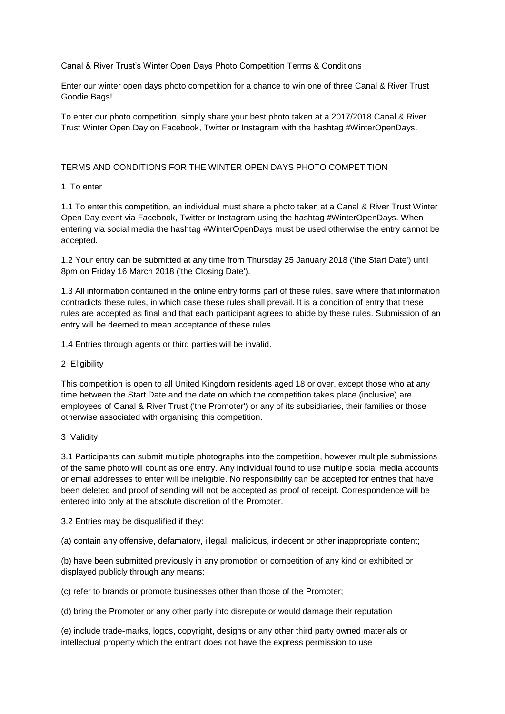Canal & River Trust's Winter Open Days Photo Competition Terms & Conditions

Enter our winter open days photo competition for a chance to win one of three Canal & River Trust Goodie Bags!

To enter our photo competition, simply share your best photo taken at a 2017/2018 Canal & River Trust Winter Open Day on Facebook, Twitter or Instagram with the hashtag #WinterOpenDays.

# TERMS AND CONDITIONS FOR THE WINTER OPEN DAYS PHOTO COMPETITION

#### 1 To enter

1.1 To enter this competition, an individual must share a photo taken at a Canal & River Trust Winter Open Day event via Facebook, Twitter or Instagram using the hashtag #WinterOpenDays. When entering via social media the hashtag #WinterOpenDays must be used otherwise the entry cannot be accepted.

1.2 Your entry can be submitted at any time from Thursday 25 January 2018 ('the Start Date') until 8pm on Friday 16 March 2018 ('the Closing Date').

1.3 All information contained in the online entry forms part of these rules, save where that information contradicts these rules, in which case these rules shall prevail. It is a condition of entry that these rules are accepted as final and that each participant agrees to abide by these rules. Submission of an entry will be deemed to mean acceptance of these rules.

1.4 Entries through agents or third parties will be invalid.

2 Eligibility

This competition is open to all United Kingdom residents aged 18 or over, except those who at any time between the Start Date and the date on which the competition takes place (inclusive) are employees of Canal & River Trust ('the Promoter') or any of its subsidiaries, their families or those otherwise associated with organising this competition.

3 Validity

3.1 Participants can submit multiple photographs into the competition, however multiple submissions of the same photo will count as one entry. Any individual found to use multiple social media accounts or email addresses to enter will be ineligible. No responsibility can be accepted for entries that have been deleted and proof of sending will not be accepted as proof of receipt. Correspondence will be entered into only at the absolute discretion of the Promoter.

3.2 Entries may be disqualified if they:

(a) contain any offensive, defamatory, illegal, malicious, indecent or other inappropriate content;

(b) have been submitted previously in any promotion or competition of any kind or exhibited or displayed publicly through any means;

(c) refer to brands or promote businesses other than those of the Promoter;

(d) bring the Promoter or any other party into disrepute or would damage their reputation

(e) include trade-marks, logos, copyright, designs or any other third party owned materials or intellectual property which the entrant does not have the express permission to use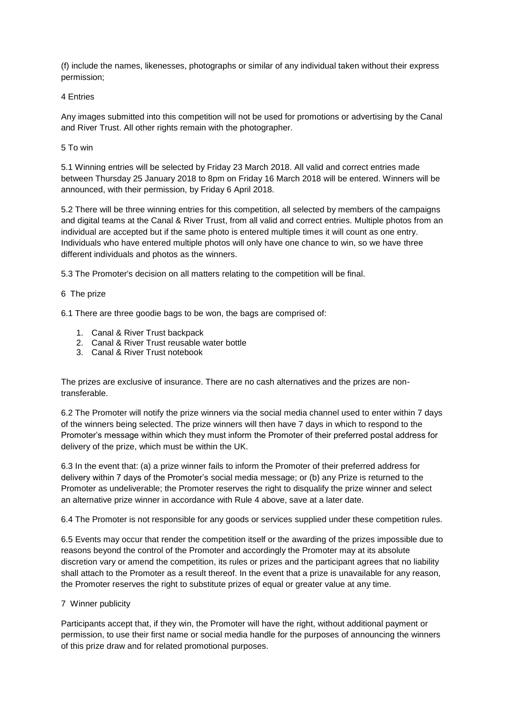(f) include the names, likenesses, photographs or similar of any individual taken without their express permission;

4 Entries

Any images submitted into this competition will not be used for promotions or advertising by the Canal and River Trust. All other rights remain with the photographer.

5 To win

5.1 Winning entries will be selected by Friday 23 March 2018. All valid and correct entries made between Thursday 25 January 2018 to 8pm on Friday 16 March 2018 will be entered. Winners will be announced, with their permission, by Friday 6 April 2018.

5.2 There will be three winning entries for this competition, all selected by members of the campaigns and digital teams at the Canal & River Trust, from all valid and correct entries. Multiple photos from an individual are accepted but if the same photo is entered multiple times it will count as one entry. Individuals who have entered multiple photos will only have one chance to win, so we have three different individuals and photos as the winners.

5.3 The Promoter's decision on all matters relating to the competition will be final.

# 6 The prize

6.1 There are three goodie bags to be won, the bags are comprised of:

- 1. Canal & River Trust backpack
- 2. Canal & River Trust reusable water bottle
- 3. Canal & River Trust notebook

The prizes are exclusive of insurance. There are no cash alternatives and the prizes are nontransferable.

6.2 The Promoter will notify the prize winners via the social media channel used to enter within 7 days of the winners being selected. The prize winners will then have 7 days in which to respond to the Promoter's message within which they must inform the Promoter of their preferred postal address for delivery of the prize, which must be within the UK.

6.3 In the event that: (a) a prize winner fails to inform the Promoter of their preferred address for delivery within 7 days of the Promoter's social media message; or (b) any Prize is returned to the Promoter as undeliverable; the Promoter reserves the right to disqualify the prize winner and select an alternative prize winner in accordance with Rule 4 above, save at a later date.

6.4 The Promoter is not responsible for any goods or services supplied under these competition rules.

6.5 Events may occur that render the competition itself or the awarding of the prizes impossible due to reasons beyond the control of the Promoter and accordingly the Promoter may at its absolute discretion vary or amend the competition, its rules or prizes and the participant agrees that no liability shall attach to the Promoter as a result thereof. In the event that a prize is unavailable for any reason, the Promoter reserves the right to substitute prizes of equal or greater value at any time.

# 7 Winner publicity

Participants accept that, if they win, the Promoter will have the right, without additional payment or permission, to use their first name or social media handle for the purposes of announcing the winners of this prize draw and for related promotional purposes.